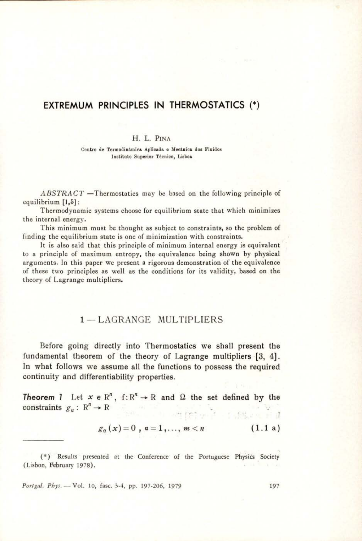## EXTREMUM PRINCIPLES IN THERMOSTATICS (\*)

#### H. L. PINA

Centro de Termodinamica Aplicada e Mecinica dos Fluidos Instituto Superior Técnico, Lisboa

 $ABSTRACT$  —Thermostatics may be based on the following principle of equilibrium [1,5]:

Thermodynamic systems choose for equilibrium state that which minimizes the internal energy.

This minimum must be thought as subject to constraints, so the problem of finding the equilibrium state is one of minimization with constraints.

It is also said that this principle of minimum internal energy is cquivalent to a principle of maximum entropy, the equivalence being shown by physical arguments. In this paper we present a rigorous demonstration of the equivalence of these two principles as well as the conditions for its validity, based on the theory of Lagrange multipliers.

## 1— LAGRANGE MULTIPLIERS

Before going directly into Thermostatics we shall present the fundamental theorem of the theory of Lagrange multipliers [3, 4]. In what follows we assume all the functions to possess the required continuity and differentiability properties.

**Theorem 1** Let  $x \in \mathbb{R}^n$ ,  $f: \mathbb{R}^n \to \mathbb{R}$  and  $\Omega$  the set defined by the constraints  $g_a: \mathbb{R}^n \to \mathbb{R}$ The company of the company of the

$$
g_n(x) = 0, \, a = 1, \ldots, \, m < n \tag{1.1 a}
$$

(\*) Results presented at the Conference of the Portuguese Physics Society (Lisbon, February 1978).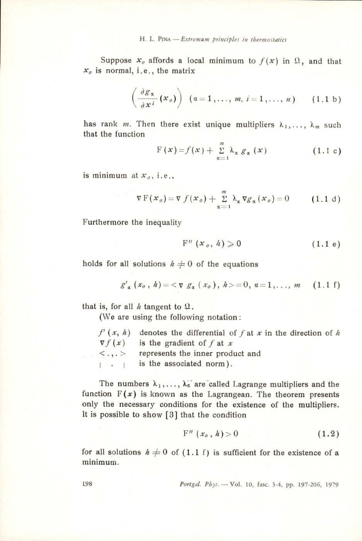Suppose  $x_o$  affords a local minimum to  $f(x)$  in  $\Omega$ , and that  $x<sub>o</sub>$  is normal, i.e., the matrix

$$
\left(\frac{\partial g_{\alpha}}{\partial x^{i}}(x_{o})\right) (a=1,\ldots,m, i=1,\ldots,n) \qquad (1.1 b)
$$

has rank m. Then there exist unique multipliers  $\lambda_1,\ldots, \lambda_m$  such that the function

$$
F(x) = f(x) + \sum_{\alpha=1}^{m} \lambda_{\alpha} g_{\alpha}(x) \qquad (1.1 c)
$$

is minimum at  $x_0$ , i.e.,

$$
\nabla \mathbf{F}(x_o) = \nabla f(x_o) + \sum_{\alpha=1}^{m} \lambda_{\alpha} \nabla g_{\alpha}(x_o) = 0 \quad (1.1 \text{ d})
$$

Furthermore the inequality

$$
F''(x_o, h) \geqslant 0 \tag{1.1 e}
$$

holds for all solutions  $h \neq 0$  of the equations

$$
g'_{\alpha}(x_0, h) = \langle \nabla g_{\alpha}(x_0), h \rangle = 0, \alpha = 1, ..., m \quad (1.1 f)
$$

that is, for all  $h$  tangent to  $\Omega$ .

(We are using the following notation:

|                                | $f'(x, h)$ denotes the differential of f at x in the direction of h |
|--------------------------------|---------------------------------------------------------------------|
| $\nabla f(x)$                  | is the gradient of $f$ at $x$                                       |
| $\langle \cdot, \cdot \rangle$ | represents the inner product and                                    |
| $1 - 1$                        | is the associated norm).                                            |

The numbers  $\lambda_1,\ldots,\lambda_n$  are called Lagrange multipliers and the function  $F(x)$  is known as the Lagrangean. The theorem presents only the necessary conditions for the existence of the multipliers. It is possible to show [3] that the condition

$$
F''(x_o, h) > 0 \tag{1.2}
$$

for all solutions  $h \neq 0$  of (1.1 f) is sufficient for the existence of a minimum.

198 Portgal. Phys. — Vol. 10, fasc. 3-4, pp. 197-206, 1979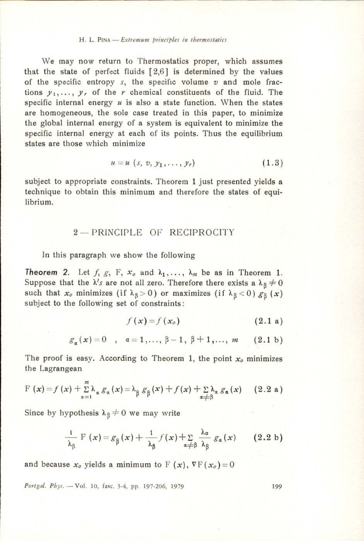We may now return to Thermostatics proper, which assumes that the state of perfect fluids [2,6] is determined by the values of the specific entropy  $s$ , the specific volume  $v$  and mole fractions  $y_1, \ldots, y_r$  of the r chemical constituents of the fluid. The specific internal energy  $u$  is also a state function. When the states are homogeneous, the sole case treated in this paper, to minimize the global internal energy of a system is equivalent to minimize the specific internal energy at each of its points. Thus the equilibrium states are those which minimize

$$
u=u\ (s,\ v,\ y_1,\ldots,\ y_r)\qquad \qquad (1.3)
$$

subject to appropriate constraints. Theorem 1 just presented yields a technique to obtain this minimum and therefore the states of equilibrium.

## 2— PRINCIPLE OF RECIPROCITY

In this paragraph we show the following

**Theorem 2.** Let  $f, g, F, x_0$  and  $\lambda_1, \ldots, \lambda_m$  be as in Theorem 1. Suppose that the  $\lambda' s$  are not all zero. Therefore there exists a  $\lambda_{\beta} \neq 0$ such that  $x_0$  minimizes (if  $\lambda_{\beta} > 0$ ) or maximizes (if  $\lambda_{\beta} < 0$ )  $g_{\beta}(x)$ subject to the following set of constraints:

$$
f(x) = f(x_0) \tag{2.1 a}
$$

$$
g_{\alpha}(x)=0 \quad , \quad \alpha=1,\ldots,\beta-1,\beta+1,\ldots,\ m \qquad (2.1\ b)
$$

The proof is easy. According to Theorem 1, the point  $x<sub>o</sub>$  minimizes the Lagrangean

$$
F(x) = f(x) + \sum_{\alpha=1}^{m} \lambda_{\alpha} g_{\alpha}(x) = \lambda_{\beta} g_{\beta}(x) + f(x) + \sum_{\alpha \neq \beta} \lambda_{\alpha} g_{\alpha}(x) \qquad (2.2 a)
$$

Since by hypothesis  $\lambda_{\text{g}} \neq 0$  we may write

$$
\frac{1}{\lambda_{\beta}} \mathbf{F}(x) = g_{\beta}(x) + \frac{1}{\lambda_{\beta}} f(x) + \sum_{\alpha \neq \beta} \frac{\lambda_{\alpha}}{\lambda_{\beta}} g_{\alpha}(x) \qquad (2.2 \text{ b})
$$

and because  $x_0$  yields a minimum to F  $(x)$ ,  $\nabla F(x_0)=0$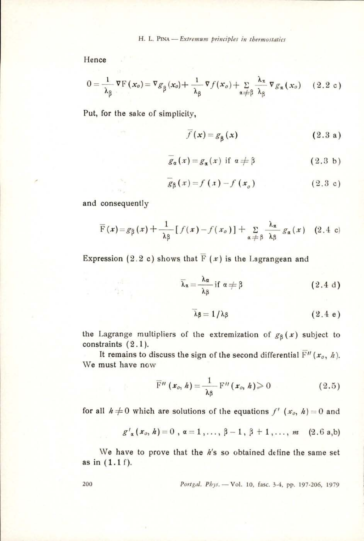$$
0 = \frac{1}{\lambda_{\beta}} \nabla F(x_{o}) = \nabla g_{\beta}(x_{o}) + \frac{1}{\lambda_{\beta}} \nabla f(x_{o}) + \sum_{\alpha \neq \beta} \frac{\lambda_{\alpha}}{\lambda_{\beta}} \nabla g_{\alpha}(x_{o}) \quad (2.2 \text{ c})
$$

Put, for the sake of simplicity,

$$
f(x) = g_{\mathbf{g}}(x) \tag{2.3 a}
$$

$$
\overline{g}_{\alpha}(x) = g_{\alpha}(x) \text{ if } \alpha \neq \beta \tag{2.3 b}
$$

$$
g_{\beta}(x) = f(x) - f(x_o)
$$
 (2.3 c)

and consequently

$$
\overline{F}(x) = g_{\beta}(x) + \frac{1}{\lambda \beta} [f(x) - f(x_{o})] + \sum_{\alpha \neq \beta} \frac{\lambda_{\alpha}}{\lambda \beta} g_{\alpha}(x) \quad (2.4 \text{ c})
$$

Expression (2.2 c) shows that  $\overline{F}(x)$  is the Lagrangean and

$$
\overline{\lambda}_{\mathbf{z}} = \frac{\lambda_{\alpha}}{\lambda_{\beta}} \text{ if } \alpha \neq \beta \tag{2.4 d}
$$

$$
\lambda \beta = 1/\lambda \beta \qquad (2.4 e)
$$

the Lagrange multipliers of the extremization of  $g_8(x)$  subject to constraints  $(2.1)$ .

It remains to discuss the sign of the second differential  $\overline{F}''(x_0, h)$ . We must have now

$$
\overline{\mathrm{F}}^{\prime\prime}\left(\boldsymbol{x}_{o},\,h\right)=\frac{1}{\lambda\beta}\,\mathrm{F}^{\prime\prime}\left(\boldsymbol{x}_{o},\,h\right)\geqslant0\qquad \qquad (2.5)
$$

for all  $h \neq 0$  which are solutions of the equations  $f'(x_0, h) = 0$  and

$$
g'_{\alpha}(x_0, h) = 0
$$
,  $\alpha = 1, ..., \beta - 1, \beta + 1, ..., m$  (2.6 a,b)

We have to prove that the  $h$ 's so obtained define the same set as in (1.1 f).

$$
Portgal. \; Pbys. \; -\; Vol. \; 10, \; \text{fasc.} \; 3-4, \; pp. \; 197-206, \; 1979
$$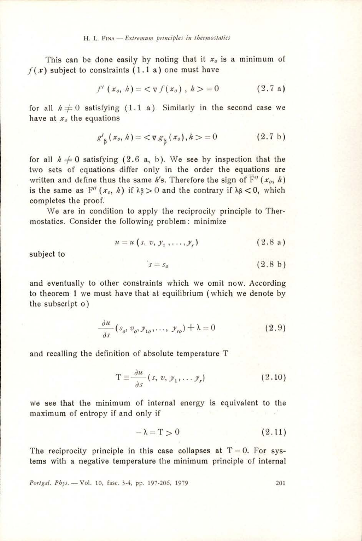This can be done easily by noting that it  $x_0$  is a minimum of  $f(x)$  subject to constraints (1.1 a) one must have

$$
f'(x_o, h) = \langle \nabla f(x_o), h \rangle = 0 \qquad (2.7 a)
$$

for all  $h \neq 0$  satisfying (1.1 a) Similarly in the second case we have at  $x_0$  the equations

$$
g'_{\beta}(x_o, h) = \langle \nabla g_{\beta}(x_o), h \rangle = 0 \qquad (2.7 \text{ b})
$$

for all  $h \neq 0$  satisfying (2.6 a, b). We see by inspection that the two sets of equations differ only in the order the equations are written and define thus the same h's. Therefore the sign of  $F''(x_0, h)$ is the same as  $F''(x_0, h)$  if  $\lambda \beta > 0$  and the contrary if  $\lambda \beta < 0$ , which completes the proof.

We are in condition to apply the reciprocity principle to Thermostatics. Consider the following problem: minimize

$$
u = u (s, v, y_1, \dots, y_r) \tag{2.8 a}
$$

subject to

$$
s = s_o \tag{2.8 b}
$$

and eventually to other constraints which we omit now. According to theorem 1 we must have that at equilibrium (which we denote by the subscript 0)

$$
\frac{\partial u}{\partial s}(s_o, v_o, y_{1o}, \dots, y_{r_o}) + \lambda = 0 \tag{2.9}
$$

and recalling the definition of absolute temperature T

$$
T \equiv \frac{\partial u}{\partial s} (s, v, y_1, \dots y_r)
$$
 (2.10)

we see that the minimum of internal energy is equivalent to the maximum of entropy if and only if

$$
-\lambda = T > 0 \tag{2.11}
$$

The reciprocity principle in this case collapses at  $T=0$ . For systems with a negative temperature the minimum principle of internal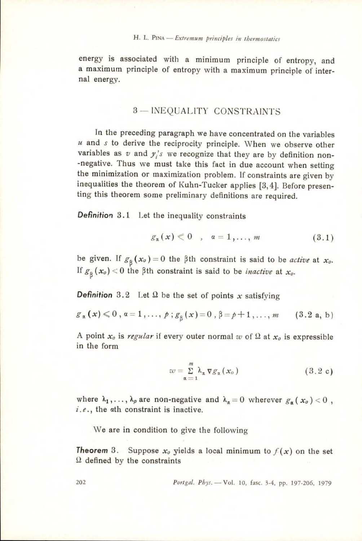energy is associated with a minimum principle of entropy, and a maximum principle of entropy with a maximum principle of internal energy.

## 3— INEQUALITY CONSTRAINTS

In the preceding paragraph we have concentrated on the variables  $u$  and  $s$  to derive the reciprocity principle. When we observe other variables as  $v$  and  $y_i$ 's we recognize that they are by definition non-negative. Thus we must take this fact in due account when setting the minimization or maximization problem. If constraints are given by inequalities ting this theorem some preliminary definitions are required. nal energy.<br>
3 — INEQUALITY CON<br>
In the preceding paragraph we have  $u$  and s to derive the reciprocity principle<br>
variables as  $v$  and  $y_i$ 's we recognize that<br>
the mitaling manualities the test than fact in the minimiza

Definition 3.1 Let the inequality constraints

$$
g_{\alpha}(x) \leq 0 \quad , \quad \alpha = 1, \ldots, m \tag{3.1}
$$

be given. If  $g_{\beta}(x_o) = 0$  the  $\beta$ th constraint is said to be *active* at  $x_o$ . If  $g_{\beta}(x_o) < 0$  the  $\beta$ th constraint is said to be *inactive* at  $x_o$ .

**Definition** 3.2 Let  $\Omega$  be the set of points x satisfying

$$
g_{\alpha}(x) \leq 0, \alpha = 1, \ldots, p; g_{\beta}(x) = 0, \beta = p+1, \ldots, m \qquad (3.2 \text{ a, b})
$$

A point  $x_0$  is regular if every outer normal w of  $\Omega$  at  $x_0$  is expressible in the form

$$
w = \sum_{\alpha=1}^{m} \lambda_{\alpha} \nabla g_{\alpha}(x_{0})
$$
 (3.2 c)

where  $\lambda_1, \ldots, \lambda_p$  are non-negative and  $\lambda_\alpha=0$  wherever  $g_\alpha(x_0) < 0$ ,  $i.e.,$  the  $\alpha$ th constraint is inactive.

We are in condition to give the following

**Theorem** 3. Suppose  $x_0$  yields a local minimum to  $f(x)$  on the set  $\Omega$  defined by the constraints

202 Portgal. Phys. — Vol. 10, fasc. 3-4, pp. 197-206, 1979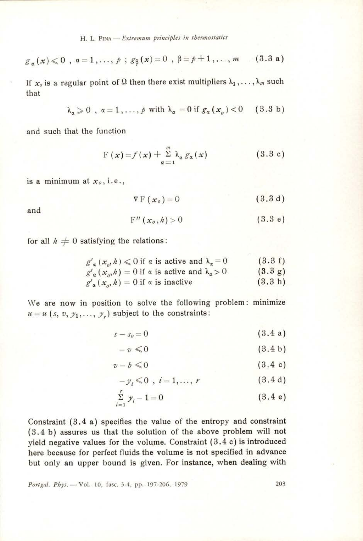H. L. PINA — Extremum principles in the  
rmostatics  

$$
g_{\alpha}(x) \leq 0 , \ \alpha = 1, ..., p ; g_{\beta}(x) = 0 , \ \beta = p+1, ..., m
$$
 (3.3 a)

If  $x_0$  is a regular point of Q then there exist multipliers  $\lambda_1, \ldots, \lambda_m$  such that

$$
\lambda_{\alpha} \geqslant 0 \quad , \quad \alpha = 1, \dots, \quad \text{with } \lambda_{\alpha} = 0 \text{ if } g_{\alpha}(x_{\alpha}) < 0 \quad (3.3 \text{ b})
$$

and such that the function

$$
F(x) = f(x) + \sum_{\alpha=1}^{m} \lambda_{\alpha} g_{\alpha}(x)
$$
 (3.3 c)

is a minimum at  $x_0$ , i.e.,

$$
\nabla \mathbf{F} \left( \mathbf{x}_o \right) = 0 \tag{3.3 d}
$$

and

$$
F''(x_o, h) > 0 \tag{3.3 e}
$$

for all  $h \neq 0$  satisfying the relations:

$$
g'_{\alpha}(x_o, h) \le 0 \text{ if } \alpha \text{ is active and } \lambda_{\alpha} = 0 \qquad (3.3 \text{ f})
$$
  

$$
g'_{\alpha}(x_o, h) = 0 \text{ if } \alpha \text{ is active and } \lambda_{\alpha} > 0 \qquad (3.3 \text{ g})
$$
  

$$
g'_{\alpha}(x_o, h) = 0 \text{ if } \alpha \text{ is inactive} \qquad (3.3 \text{ h})
$$

We are now in position to solve the following problem: minimize  $u=u(s, v, y_1, \ldots, y_r)$  subject to the constraints:

$$
s - s_o = 0 \tag{3.4 a}
$$

$$
-v \leq 0 \tag{3.4 b}
$$

$$
v-b \leq 0 \tag{3.4 c}
$$

$$
-y_i \leq 0 \, , \, i=1,\ldots,\,r \tag{3.4 d}
$$

$$
\sum_{i=1}^{r} y_i - 1 = 0 \tag{3.4 e}
$$

Constraint (3.4 a) specifies the value of the entropy and constraint (3.4 b) assures us that the solution of the above problem will not yield negative values for the volume. Constraint  $(3.4 c)$  is introduced here because for perfect fluids the volume is not specified in advance but only an upper bound is given. For instance, when dealing with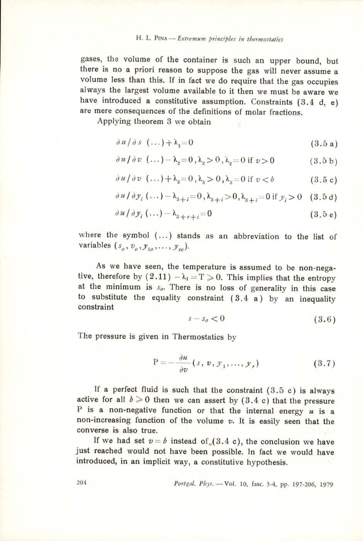H. L. PINA -- Extremum principles in thermostatics<br>gases, the volume of the container is such an upper bound, but there is no a priori reason to suppose the gas will never assume a volume less than this. If in fact we do require that the gas occupies always the largest volume available to it then we must be aware we have introduced a constitutive assumption. Constraints (3.4 d, e) are mere consequences of the definitions of molar fractions.

Applying theorem 3 we obtain

$$
\frac{\partial u}{\partial s} \left( \dots \right) + \lambda_1 = 0 \tag{3.5 a}
$$

$$
\partial u/\partial v \quad (\dots) - \lambda_2 = 0 \,, \lambda_2 > 0 \,, \lambda_2 = 0 \text{ if } v > 0 \tag{3.5 b}
$$

$$
\partial u/\partial v \quad (\dots) + \lambda_3 = 0 \,, \lambda_3 > 0 \,, \lambda_3 = 0 \text{ if } v < b \tag{3.5 c}
$$

$$
\frac{\partial u}{\partial y_i}(\dots) - \lambda_{s+i} = 0, \lambda_{s+i} > 0, \lambda_{s+i} = 0 \text{ if } y_i > 0 \quad (3.5 \text{ d})
$$

$$
\frac{\partial u}{\partial y_i}(\ldots) - \lambda_{s+r+i} = 0 \tag{3.5 e}
$$

where the symbol (...) stands as an abbreviation to the list of variables  $(s_0, v_0, y_1, \ldots, y_n)$ .

As we have seen, the temperature is assumed to be non-negative, therefore by  $(2.11) - \lambda_1 = T \ge 0$ . This implies that the entropy at the minimum is  $s_o$ . There is no loss of generality in this case to substitute the equality constraint (3.4 a) by an inequality constraint

$$
s - s_o < 0 \tag{3.6}
$$

The pressure is given in Thermostatics by

$$
P = -\frac{\partial u}{\partial v}(s, v, y_1, \dots, y_r)
$$
 (3.7)

If a perfect fluid is such that the constraint  $(3.5 c)$  is always active for all  $b \ge 0$  then we can assert by (3.4 c) that the pressure P is a non-negative function or that the internal energy  $u$  is a non-increasing function of the volume  $v$ . It is easily seen that the converse is also true.

If we had set  $v=b$  instead of  $(3.4 c)$ , the conclusion we have just reached would not have been possible. In fact we would have introduced, in an implicit way, a constitutive hypothesis.

204 Portgal. Phys. —Vol. 10, fasc. 3-4, pp. 197-206, 1979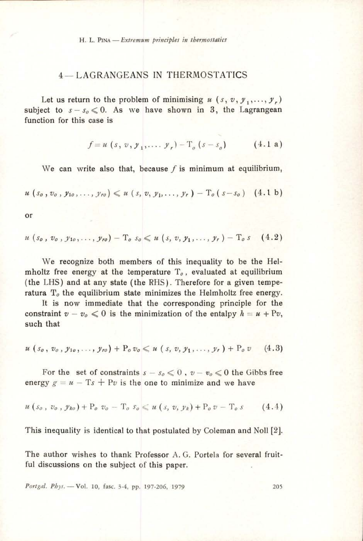## 4— LAGRANGEANS IN THERMOSTATICS

Let us return to the problem of minimising  $u(x, v, y_1, \ldots, y_r)$ subject to  $s - s_0 \leq 0$ . As we have shown in 3, the Lagrangean function for this case is

$$
f = u(s, v, y_1, ..., y_r) - T_a(s - s_a)
$$
 (4.1 a)

We can write also that, because  $f$  is minimum at equilibrium,

$$
u(s_0, v_0, y_{10}, \ldots, y_{r0}) \leq u(s, v, y_1, \ldots, y_r) - T_0(s - s_0)
$$
 (4.1 b)

or

$$
u(s_0, v_0, y_{10}, \ldots, y_{r0}) - T_0 s_0 \leq u(s, v, y_1, \ldots, y_r) - T_0 s \quad (4.2)
$$

We recognize both members of this inequality to be the Helmholtz free energy at the temperature  $T<sub>o</sub>$ , evaluated at equilibrium (the LHS) and at any state (the RHS). Therefore for a given temperatura  $T<sub>o</sub>$  the equilibrium state minimizes the Helmholtz free energy.

It is now immediate that the corresponding principle for the constraint  $v - v_0 \leq 0$  is the minimization of the entalpy  $h = u + Pv$ , such that

$$
u(s_0, v_0, y_{10}, \ldots, y_{r0}) + P_0 v_0 \leq u(s, v, y_1, \ldots, y_r) + P_0 v \qquad (4.3)
$$

For the set of constraints  $s - s_0 \leq 0$ ,  $v - v_0 \leq 0$  the Gibbs free energy  $g = u - Ts + Pv$  is the one to minimize and we have

$$
u(s_o, v_o, y_{ko}) + P_o v_o - T_o s_o \leq u(s, v, y_k) + P_o v - T_o s \qquad (4.4)
$$

This inequality is identical to that postulated by Coleman and Noll [2].

The author wishes to thank Professor A. G. Portela for several fruitful discussions on the subject of this paper.